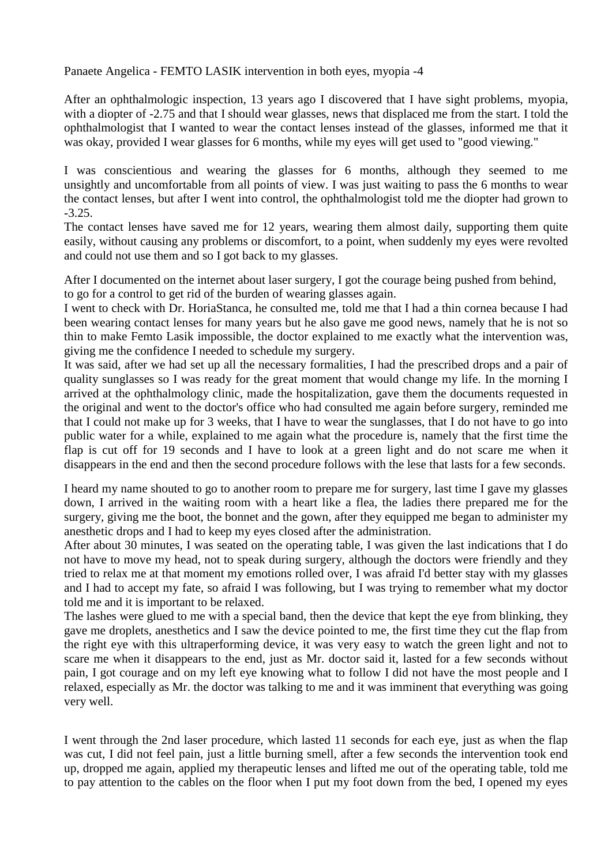Panaete Angelica - FEMTO LASIK intervention in both eyes, myopia -4

After an ophthalmologic inspection, 13 years ago I discovered that I have sight problems, myopia, with a diopter of -2.75 and that I should wear glasses, news that displaced me from the start. I told the ophthalmologist that I wanted to wear the contact lenses instead of the glasses, informed me that it was okay, provided I wear glasses for 6 months, while my eyes will get used to "good viewing."

I was conscientious and wearing the glasses for 6 months, although they seemed to me unsightly and uncomfortable from all points of view. I was just waiting to pass the 6 months to wear the contact lenses, but after I went into control, the ophthalmologist told me the diopter had grown to -3.25.

The contact lenses have saved me for 12 years, wearing them almost daily, supporting them quite easily, without causing any problems or discomfort, to a point, when suddenly my eyes were revolted and could not use them and so I got back to my glasses.

After I documented on the internet about laser surgery, I got the courage being pushed from behind, to go for a control to get rid of the burden of wearing glasses again.

I went to check with Dr. HoriaStanca, he consulted me, told me that I had a thin cornea because I had been wearing contact lenses for many years but he also gave me good news, namely that he is not so thin to make Femto Lasik impossible, the doctor explained to me exactly what the intervention was, giving me the confidence I needed to schedule my surgery.

It was said, after we had set up all the necessary formalities, I had the prescribed drops and a pair of quality sunglasses so I was ready for the great moment that would change my life. In the morning I arrived at the ophthalmology clinic, made the hospitalization, gave them the documents requested in the original and went to the doctor's office who had consulted me again before surgery, reminded me that I could not make up for 3 weeks, that I have to wear the sunglasses, that I do not have to go into public water for a while, explained to me again what the procedure is, namely that the first time the flap is cut off for 19 seconds and I have to look at a green light and do not scare me when it disappears in the end and then the second procedure follows with the lese that lasts for a few seconds.

I heard my name shouted to go to another room to prepare me for surgery, last time I gave my glasses down, I arrived in the waiting room with a heart like a flea, the ladies there prepared me for the surgery, giving me the boot, the bonnet and the gown, after they equipped me began to administer my anesthetic drops and I had to keep my eyes closed after the administration.

After about 30 minutes, I was seated on the operating table, I was given the last indications that I do not have to move my head, not to speak during surgery, although the doctors were friendly and they tried to relax me at that moment my emotions rolled over, I was afraid I'd better stay with my glasses and I had to accept my fate, so afraid I was following, but I was trying to remember what my doctor told me and it is important to be relaxed.

The lashes were glued to me with a special band, then the device that kept the eye from blinking, they gave me droplets, anesthetics and I saw the device pointed to me, the first time they cut the flap from the right eye with this ultraperforming device, it was very easy to watch the green light and not to scare me when it disappears to the end, just as Mr. doctor said it, lasted for a few seconds without pain, I got courage and on my left eye knowing what to follow I did not have the most people and I relaxed, especially as Mr. the doctor was talking to me and it was imminent that everything was going very well.

I went through the 2nd laser procedure, which lasted 11 seconds for each eye, just as when the flap was cut, I did not feel pain, just a little burning smell, after a few seconds the intervention took end up, dropped me again, applied my therapeutic lenses and lifted me out of the operating table, told me to pay attention to the cables on the floor when I put my foot down from the bed, I opened my eyes